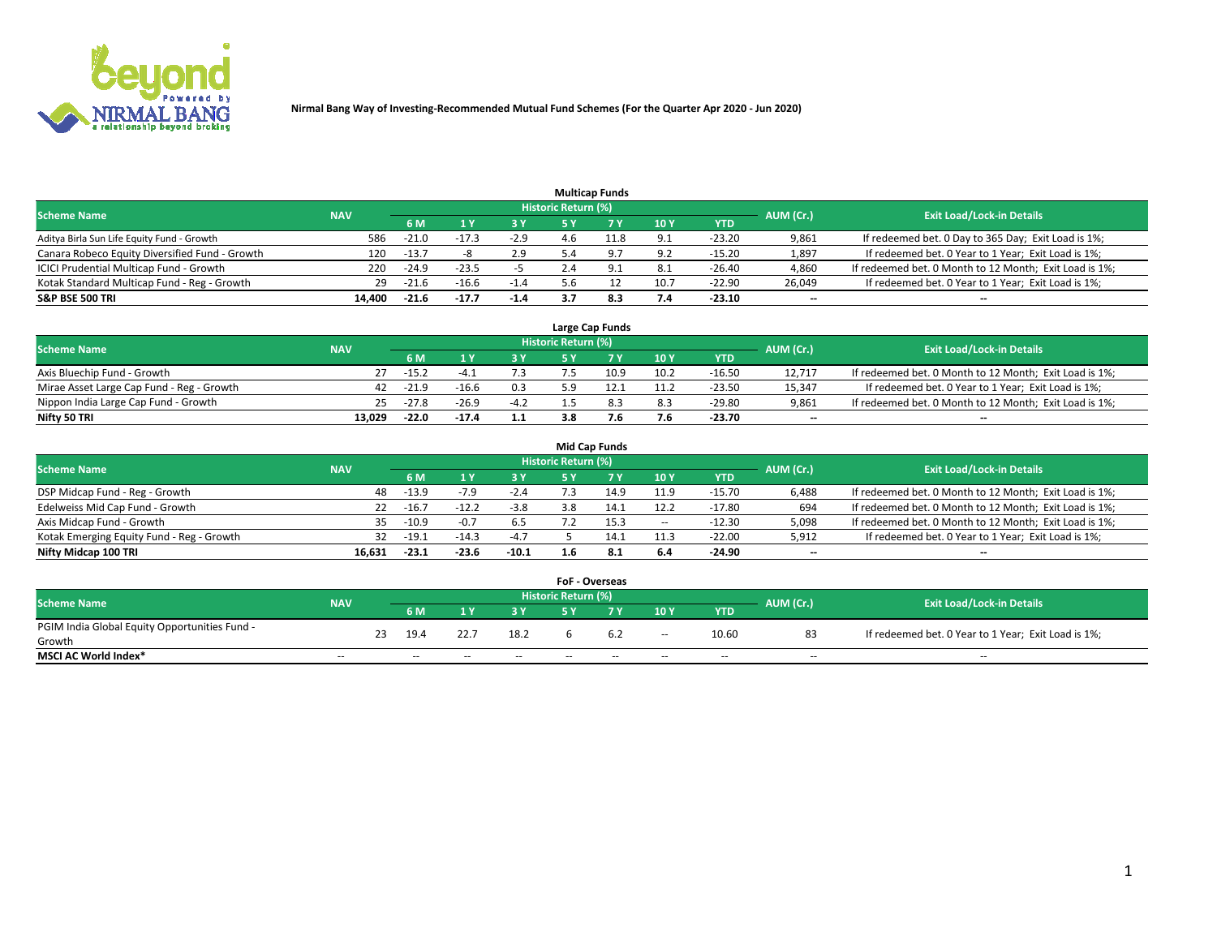

|                                                |            |         |         |        |                     | <b>Multicap Funds</b> |      |          |                          |                                                        |
|------------------------------------------------|------------|---------|---------|--------|---------------------|-----------------------|------|----------|--------------------------|--------------------------------------------------------|
| <b>Scheme Name</b>                             | <b>NAV</b> |         |         |        | Historic Return (%) |                       |      |          | AUM (Cr.)                | <b>Exit Load/Lock-in Details</b>                       |
|                                                |            | 6 M     |         |        |                     |                       | 10Y  | YTD      |                          |                                                        |
| Aditya Birla Sun Life Equity Fund - Growth     | 586        | $-21.0$ |         | $-2.9$ |                     |                       | 9.1  | $-23.20$ | 9,861                    | If redeemed bet. 0 Day to 365 Day; Exit Load is 1%;    |
| Canara Robeco Equity Diversified Fund - Growth | 120        | $-13.7$ |         | 2.9    |                     |                       | 9.2  | $-15.20$ | 1,897                    | If redeemed bet. 0 Year to 1 Year; Exit Load is 1%;    |
| ICICI Prudential Multicap Fund - Growth        | 220        | $-24.9$ | $-23.5$ |        | 2.4                 |                       | 8.1  | $-26.40$ | 4,860                    | If redeemed bet. 0 Month to 12 Month; Exit Load is 1%; |
| Kotak Standard Multicap Fund - Reg - Growth    | 29         | $-21.6$ | $-16.6$ | $-1.4$ | 5.6                 |                       | 10.7 | $-22.90$ | 26,049                   | If redeemed bet. 0 Year to 1 Year; Exit Load is 1%;    |
| <b>S&amp;P BSE 500 TRI</b>                     | 14.400     | $-21.6$ | $-17.7$ | $-1.4$ |                     | 8.3                   | 7.4  | $-23.10$ | $\overline{\phantom{a}}$ | $\overline{\phantom{a}}$                               |

|                                           |            |         |         |        |                     | Large Cap Funds |      |            |                          |                                                        |
|-------------------------------------------|------------|---------|---------|--------|---------------------|-----------------|------|------------|--------------------------|--------------------------------------------------------|
| <b>Scheme Name</b>                        | <b>NAV</b> |         |         |        | Historic Return (%) |                 |      |            | AUM (Cr.)                | <b>Exit Load/Lock-in Details</b>                       |
|                                           |            | 6 M     |         | 3 Y    |                     |                 | 10Y  | <b>YTD</b> |                          |                                                        |
| Axis Bluechip Fund - Growth               |            | $-15.2$ | -4      |        |                     | 10.9            | 10.2 | -16.50     | 12.717                   | If redeemed bet. 0 Month to 12 Month; Exit Load is 1%; |
| Mirae Asset Large Cap Fund - Reg - Growth | 42         | $-21.9$ | $-16.6$ | 0.3    | ς ο                 |                 |      | $-23.50$   | 15.347                   | If redeemed bet. 0 Year to 1 Year; Exit Load is 1%;    |
| Nippon India Large Cap Fund - Growth      | 25         | $-27.8$ | $-26.9$ | $-4.2$ |                     |                 | 8.3  | $-29.80$   | 9,861                    | If redeemed bet. 0 Month to 12 Month; Exit Load is 1%; |
| Nifty 50 TRI                              | 13.029     | $-22.0$ | $-17.4$ | 1.1    | 3.8                 |                 | 7.6  | -23.70     | $\overline{\phantom{a}}$ | $\overline{\phantom{a}}$                               |

|                                           |            |         |         |         |                     | <b>Mid Cap Funds</b> |        |            |           |                                                        |
|-------------------------------------------|------------|---------|---------|---------|---------------------|----------------------|--------|------------|-----------|--------------------------------------------------------|
| <b>Scheme Name</b>                        | <b>NAV</b> |         |         |         | Historic Return (%) |                      |        |            | AUM (Cr.) | <b>Exit Load/Lock-in Details</b>                       |
|                                           |            | 6 M     |         | 3 Y     |                     |                      | 10Y    | <b>YTD</b> |           |                                                        |
| DSP Midcap Fund - Reg - Growth            | 48         | $-13.9$ |         | $-2.4$  |                     |                      | 11.9   | $-15.70$   | 6,488     | If redeemed bet. 0 Month to 12 Month; Exit Load is 1%; |
| Edelweiss Mid Cap Fund - Growth           | 22         | $-16.7$ | $-12.2$ | $-3.8$  | 3.8                 |                      | 12.2   | $-17.80$   | 694       | If redeemed bet. 0 Month to 12 Month; Exit Load is 1%; |
| Axis Midcap Fund - Growth                 | 35.        | $-10.9$ | $-0.7$  | 6.5     |                     |                      | $\sim$ | $-12.30$   | 5,098     | If redeemed bet. 0 Month to 12 Month; Exit Load is 1%; |
| Kotak Emerging Equity Fund - Reg - Growth | 32         | $-19.1$ | $-14.3$ | $-4.7$  |                     |                      | 11.3   | $-22.00$   | 5,912     | If redeemed bet. 0 Year to 1 Year; Exit Load is 1%;    |
| Nifty Midcap 100 TRI                      | 16.631     | $-23.1$ | $-23.6$ | $-10.1$ | 1.6                 | 8.1                  | 6.4    | $-24.90$   | $- -$     | $\overline{\phantom{a}}$                               |

|                                               |            |    |                          |       |       | <b>FoF - Overseas</b>      |     |        |            |           |                                                     |
|-----------------------------------------------|------------|----|--------------------------|-------|-------|----------------------------|-----|--------|------------|-----------|-----------------------------------------------------|
| <b>Scheme Name</b>                            | <b>NAV</b> |    |                          |       |       | <b>Historic Return (%)</b> |     |        |            | AUM (Cr.) | <b>Exit Load/Lock-in Details</b>                    |
|                                               |            |    | 6 <sub>M</sub>           |       |       |                            |     | 10Y    | <b>YTD</b> |           |                                                     |
| PGIM India Global Equity Opportunities Fund - |            | 23 | 19.4                     | 22.7  | 18.2  |                            | 6.2 | $\sim$ | 10.60      | 83        | If redeemed bet. 0 Year to 1 Year; Exit Load is 1%; |
| Growth                                        |            |    |                          |       |       |                            |     |        |            |           |                                                     |
| <b>MSCI AC World Index*</b>                   | $- -$      |    | $\overline{\phantom{a}}$ | $\!-$ | $- -$ | $\overline{\phantom{a}}$   | --  | $- -$  | $- -$      | $\sim$    | $\overline{\phantom{a}}$                            |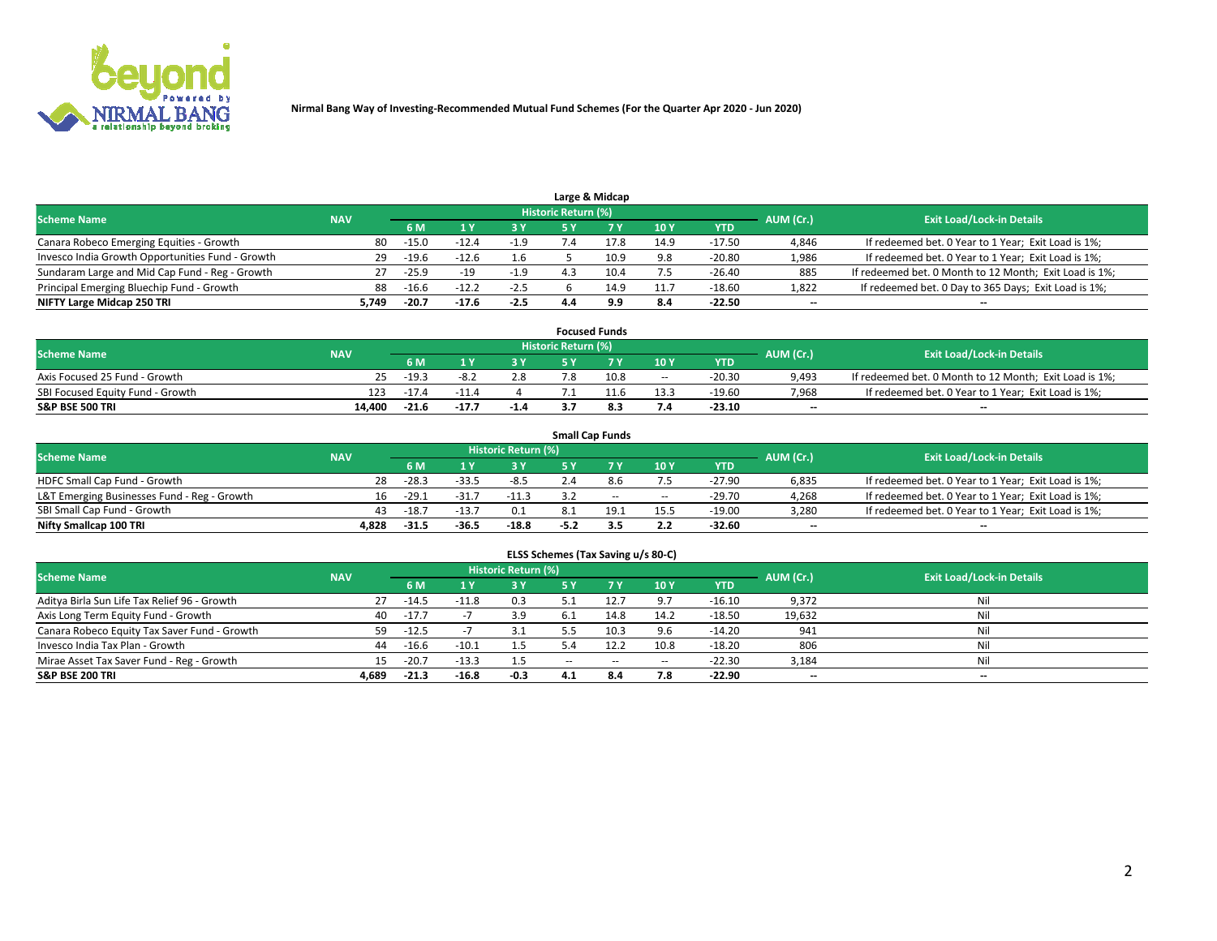

|                                                  |            |         |         |        |                     | Large & Midcap |      |            |           |                                                        |
|--------------------------------------------------|------------|---------|---------|--------|---------------------|----------------|------|------------|-----------|--------------------------------------------------------|
| <b>Scheme Name</b>                               | <b>NAV</b> |         |         |        | Historic Return (%) |                |      |            | AUM (Cr.) | <b>Exit Load/Lock-in Details</b>                       |
|                                                  |            | 6 M     |         |        |                     |                | 10Y  | <b>YTD</b> |           |                                                        |
| Canara Robeco Emerging Equities - Growth         | 80         | $-15.0$ | $-12.4$ | -1.9   |                     |                | 14.9 | $-17.50$   | 4,846     | If redeemed bet. 0 Year to 1 Year; Exit Load is 1%;    |
| Invesco India Growth Opportunities Fund - Growth | 29         | $-19.6$ | $-12.6$ | 1.6    |                     | 10.9           | 9.8  | $-20.80$   | 1,986     | If redeemed bet. 0 Year to 1 Year; Exit Load is 1%;    |
| Sundaram Large and Mid Cap Fund - Reg - Growth   | 27         | $-25.9$ |         | $-1.9$ |                     | 10.4           | 7.5  | $-26.40$   | 885       | If redeemed bet. 0 Month to 12 Month; Exit Load is 1%; |
| Principal Emerging Bluechip Fund - Growth        | 88         | $-16.6$ | $-12.2$ | $-2.5$ |                     | 14.9           | 11.7 | $-18.60$   | 1,822     | If redeemed bet. 0 Day to 365 Days; Exit Load is 1%;   |
| NIFTY Large Midcap 250 TRI                       | 5.749      | $-20.7$ | $-17.6$ | $-2.5$ | 4.4                 | 9.9            | 8.4  | $-22.50$   | $- -$     | $\overline{\phantom{a}}$                               |

|                                  |            |         |       |        |                     | <b>Focused Funds</b> |                          |          |                          |                                                        |
|----------------------------------|------------|---------|-------|--------|---------------------|----------------------|--------------------------|----------|--------------------------|--------------------------------------------------------|
| <b>Scheme Name</b>               | <b>NAV</b> |         |       |        | Historic Return (%) |                      |                          |          | AUM (Cr.)                | <b>Exit Load/Lock-in Details</b>                       |
|                                  |            | 6 M     |       |        |                     |                      | 10Y                      | YTD      |                          |                                                        |
| Axis Focused 25 Fund - Growth    |            | $-19.3$ | -8.2  | 2.8    |                     | 10.8                 | $\overline{\phantom{a}}$ | $-20.30$ | 9.493                    | If redeemed bet. 0 Month to 12 Month; Exit Load is 1%; |
| SBI Focused Equity Fund - Growth | 123        | $-17.2$ |       |        |                     |                      | 13.3                     | $-19.60$ | 7,968                    | If redeemed bet. 0 Year to 1 Year; Exit Load is 1%;    |
| <b>S&amp;P BSE 500 TRI</b>       | 14.400     | $-21.6$ | -17.7 | $-1.4$ |                     |                      | 7.4                      | $-23.10$ | $\overline{\phantom{a}}$ | $\overline{\phantom{a}}$                               |

| <b>Small Cap Funds</b>                      |            |                                  |         |         |        |        |       |            |       |                                                     |  |  |  |
|---------------------------------------------|------------|----------------------------------|---------|---------|--------|--------|-------|------------|-------|-----------------------------------------------------|--|--|--|
| <b>Scheme Name</b>                          | AUM (Cr.)  | <b>Exit Load/Lock-in Details</b> |         |         |        |        |       |            |       |                                                     |  |  |  |
|                                             | <b>NAV</b> | 6 M                              |         | 3 Y     |        |        | 10Y   | <b>YTD</b> |       |                                                     |  |  |  |
| HDFC Small Cap Fund - Growth                | 28         | $-28.3$                          | $-33.5$ | $-8.5$  | 2.4    |        | 7.5   | $-27.90$   | 6,835 | If redeemed bet. 0 Year to 1 Year; Exit Load is 1%; |  |  |  |
| L&T Emerging Businesses Fund - Reg - Growth |            | $-29.1$                          | $-31.7$ | $-11.3$ |        | $\sim$ | $- -$ | $-29.70$   | 4,268 | If redeemed bet. 0 Year to 1 Year; Exit Load is 1%; |  |  |  |
| SBI Small Cap Fund - Growth                 |            | $-18.7$                          | $-13.7$ | 0.1     |        | 19'    | 15.5  | $-19.00$   | 3,280 | If redeemed bet. 0 Year to 1 Year; Exit Load is 1%; |  |  |  |
| Nifty Smallcap 100 TRI                      | 4.828      | $-31.5$                          | -36.5   | $-18.8$ | $-5.2$ |        | 2.2   | -32.60     | $- -$ | $\overline{\phantom{a}}$                            |  |  |  |

| ELSS Schemes (Tax Saving u/s 80-C)           |                                                                                                                 |         |         |           |        |        |        |            |                          |                          |  |  |  |  |  |
|----------------------------------------------|-----------------------------------------------------------------------------------------------------------------|---------|---------|-----------|--------|--------|--------|------------|--------------------------|--------------------------|--|--|--|--|--|
|                                              | <b>Historic Return (%)</b><br><b>Exit Load/Lock-in Details</b><br><b>Scheme Name</b><br><b>NAV</b><br>AUM (Cr.) |         |         |           |        |        |        |            |                          |                          |  |  |  |  |  |
|                                              |                                                                                                                 | 6 M     | 1 Y     | <b>3Y</b> | 5 Y    | 7 V    | 10Y    | <b>YTD</b> |                          |                          |  |  |  |  |  |
| Aditya Birla Sun Life Tax Relief 96 - Growth | 27                                                                                                              | $-14.5$ | $-11.8$ | 0.3       | 5.1    | 12.7   | 9.7    | $-16.10$   | 9,372                    | Nil                      |  |  |  |  |  |
| Axis Long Term Equity Fund - Growth          | 40                                                                                                              | $-17.7$ |         | 3.9       | 6.1    | 14.8   | 14.2   | $-18.50$   | 19,632                   | Nil                      |  |  |  |  |  |
| Canara Robeco Equity Tax Saver Fund - Growth | 59                                                                                                              | $-12.5$ |         |           | 5.5    | 10.3   | 9.6    | $-14.20$   | 941                      | Nil                      |  |  |  |  |  |
| Invesco India Tax Plan - Growth              | 44                                                                                                              | $-16.6$ | $-10.1$ | 1.5       | 5.4    | 12.2   | 10.8   | $-18.20$   | 806                      | Nil                      |  |  |  |  |  |
| Mirae Asset Tax Saver Fund - Reg - Growth    | 15                                                                                                              | $-20.7$ | $-13.3$ | 1.5       | $\sim$ | $\sim$ | $\sim$ | $-22.30$   | 3,184                    | Nil                      |  |  |  |  |  |
| S&P BSE 200 TRI                              | 4,689                                                                                                           | $-21.3$ | $-16.8$ | $-0.3$    | 4.1    | 8.4    | 7.8    | $-22.90$   | $\overline{\phantom{a}}$ | $\overline{\phantom{a}}$ |  |  |  |  |  |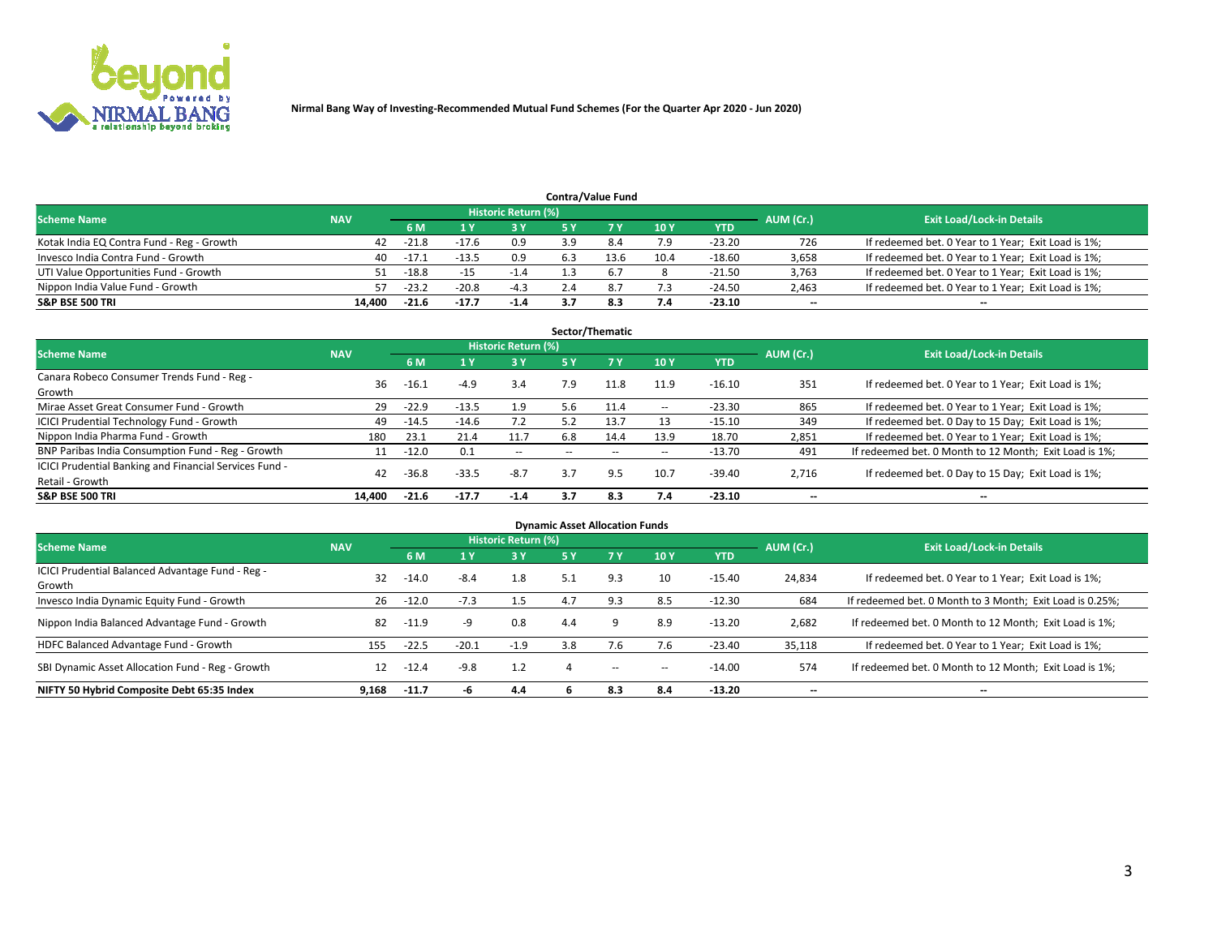

| <b>Contra/Value Fund</b>                  |            |                                  |         |        |     |  |      |            |       |                                                     |  |  |  |
|-------------------------------------------|------------|----------------------------------|---------|--------|-----|--|------|------------|-------|-----------------------------------------------------|--|--|--|
| <b>Scheme Name</b>                        | AUM (Cr.)  | <b>Exit Load/Lock-in Details</b> |         |        |     |  |      |            |       |                                                     |  |  |  |
|                                           | <b>NAV</b> | 6 M                              |         | 2 V    |     |  | 10Y  | <b>YTD</b> |       |                                                     |  |  |  |
| Kotak India EQ Contra Fund - Reg - Growth | 42         | $-21.8$                          | $-17.6$ | 0.9    | : വ |  | 7.9  | $-23.20$   | 726   | If redeemed bet. 0 Year to 1 Year; Exit Load is 1%; |  |  |  |
| Invesco India Contra Fund - Growth        | 40         | $-17.1$                          | $-13.5$ | 0.9    |     |  | 10.4 | $-18.60$   | 3,658 | If redeemed bet. 0 Year to 1 Year; Exit Load is 1%; |  |  |  |
| UTI Value Opportunities Fund - Growth     | 51         | $-18.8$                          | $-15$   | -1.4   |     |  |      | $-21.50$   | 3,763 | If redeemed bet. 0 Year to 1 Year; Exit Load is 1%; |  |  |  |
| Nippon India Value Fund - Growth          | 57         | $-23.2$                          | $-20.8$ | $-4.3$ |     |  | 7.3  | $-24.50$   | 2,463 | If redeemed bet. 0 Year to 1 Year; Exit Load is 1%; |  |  |  |
| <b>S&amp;P BSE 500 TRI</b>                | 14.400     | $-21.6$                          | $-17.7$ | $-1.4$ |     |  | 7.4  | $-23.10$   | $- -$ | $-$                                                 |  |  |  |

|                                                                           |            |         |         |                            |     | Sector/Thematic |                   |          |           |                                                        |
|---------------------------------------------------------------------------|------------|---------|---------|----------------------------|-----|-----------------|-------------------|----------|-----------|--------------------------------------------------------|
| <b>Scheme Name</b>                                                        | <b>NAV</b> |         |         | <b>Historic Return (%)</b> |     |                 |                   |          | AUM (Cr.) | <b>Exit Load/Lock-in Details</b>                       |
|                                                                           |            | 6 M     |         | 3 Y                        | 5 Y |                 | 10Y               | YTD      |           |                                                        |
| Canara Robeco Consumer Trends Fund - Reg -<br>Growth                      | 36         | $-16.1$ | $-4.9$  | 3.4                        | 7.9 | 11.8            | 11.9              | $-16.10$ | 351       | If redeemed bet. 0 Year to 1 Year; Exit Load is 1%;    |
| Mirae Asset Great Consumer Fund - Growth                                  | 29         | $-22.9$ | $-13.5$ | 1.9                        | 5.6 |                 | $\hspace{0.05cm}$ | $-23.30$ | 865       | If redeemed bet. 0 Year to 1 Year; Exit Load is 1%;    |
| <b>ICICI Prudential Technology Fund - Growth</b>                          | 49         | $-14.5$ | $-14.6$ | 7.2                        | 5.2 | 13.7            | 13                | $-15.10$ | 349       | If redeemed bet. 0 Day to 15 Day; Exit Load is 1%;     |
| Nippon India Pharma Fund - Growth                                         | 180        | 23.1    | 21.4    | 11.7                       | 6.8 | 14.4            | 13.9              | 18.70    | 2,851     | If redeemed bet. 0 Year to 1 Year; Exit Load is 1%;    |
| BNP Paribas India Consumption Fund - Reg - Growth                         | 11         | $-12.0$ | 0.1     | $\sim$                     |     |                 | $\sim$            | $-13.70$ | 491       | If redeemed bet. 0 Month to 12 Month; Exit Load is 1%; |
| ICICI Prudential Banking and Financial Services Fund -<br>Retail - Growth | 42         | $-36.8$ | $-33.5$ | $-8.7$                     | 3.7 | 9.5             | 10.7              | $-39.40$ | 2,716     | If redeemed bet. 0 Day to 15 Day; Exit Load is 1%;     |
| <b>S&amp;P BSE 500 TRI</b>                                                | 14.400     | $-21.6$ | $-17.7$ | $-1.4$                     | 3.7 | -8.3            | 7.4               | $-23.10$ | $- -$     | $\overline{\phantom{a}}$                               |

| <b>Dynamic Asset Allocation Funds</b>                      |            |         |         |                            |            |     |        |            |           |                                                          |  |  |  |
|------------------------------------------------------------|------------|---------|---------|----------------------------|------------|-----|--------|------------|-----------|----------------------------------------------------------|--|--|--|
| <b>Scheme Name</b>                                         | <b>NAV</b> |         |         | <b>Historic Return (%)</b> |            |     |        |            | AUM (Cr.) | <b>Exit Load/Lock-in Details</b>                         |  |  |  |
|                                                            |            | 6 M     |         | 3 Y                        | <b>5 Y</b> |     | 10Y    | <b>YTD</b> |           |                                                          |  |  |  |
| ICICI Prudential Balanced Advantage Fund - Reg -<br>Growth | 32         | $-14.0$ | $-8.4$  | 1.8                        |            | 9.3 | 10     | $-15.40$   | 24,834    | If redeemed bet. 0 Year to 1 Year; Exit Load is 1%;      |  |  |  |
| Invesco India Dynamic Equity Fund - Growth                 | 26         | $-12.0$ | $-7.3$  | 1.5                        | 4.7        | 9.3 | 8.5    | $-12.30$   | 684       | If redeemed bet. 0 Month to 3 Month; Exit Load is 0.25%; |  |  |  |
| Nippon India Balanced Advantage Fund - Growth              | 82         | $-11.9$ | -9      | 0.8                        | 4.4        |     | 8.9    | $-13.20$   | 2,682     | If redeemed bet. 0 Month to 12 Month; Exit Load is 1%;   |  |  |  |
| HDFC Balanced Advantage Fund - Growth                      | 155        | $-22.5$ | $-20.1$ | $-1.9$                     | 3.8        |     | 7.6    | $-23.40$   | 35,118    | If redeemed bet. 0 Year to 1 Year; Exit Load is 1%;      |  |  |  |
| SBI Dynamic Asset Allocation Fund - Reg - Growth           | 12         | $-12.4$ | $-9.8$  | 1.2                        |            | $-$ | $\sim$ | $-14.00$   | 574       | If redeemed bet. 0 Month to 12 Month; Exit Load is 1%;   |  |  |  |
| NIFTY 50 Hybrid Composite Debt 65:35 Index                 | 9.168      | $-11.7$ | -h      | 4.4                        |            | 8.3 | 8.4    | $-13.20$   |           | $\overline{\phantom{a}}$                                 |  |  |  |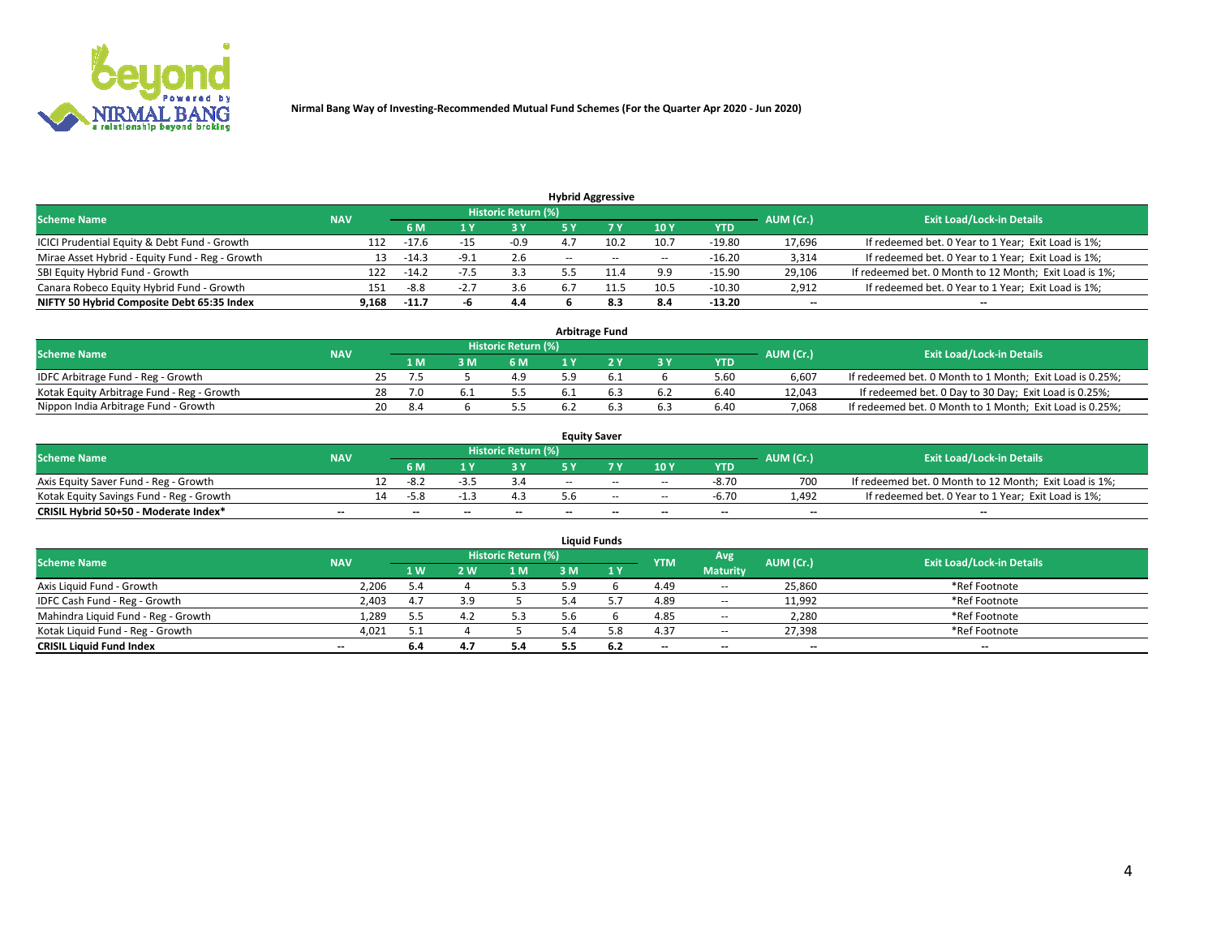

| <b>Hybrid Aggressive</b>                        |            |         |        |                     |                          |        |       |          |           |                                                        |  |  |  |
|-------------------------------------------------|------------|---------|--------|---------------------|--------------------------|--------|-------|----------|-----------|--------------------------------------------------------|--|--|--|
| <b>Scheme Name</b>                              | <b>NAV</b> |         |        | Historic Return (%) |                          |        |       |          | AUM (Cr.) | <b>Exit Load/Lock-in Details</b>                       |  |  |  |
|                                                 |            | 6 M     |        | 3 Y                 |                          |        | 10Y   | YTD      |           |                                                        |  |  |  |
| ICICI Prudential Equity & Debt Fund - Growth    | 112        | $-17.6$ |        | $-0.9$              |                          | 10.2   | 10.7  | $-19.80$ | 17,696    | If redeemed bet. 0 Year to 1 Year; Exit Load is 1%;    |  |  |  |
| Mirae Asset Hybrid - Equity Fund - Reg - Growth | 13         | -14.3   | -9.1   | 2.6                 | $\overline{\phantom{a}}$ | $\sim$ | $- -$ | $-16.20$ | 3,314     | If redeemed bet. 0 Year to 1 Year; Exit Load is 1%;    |  |  |  |
| SBI Equity Hybrid Fund - Growth                 | 122        | $-14.2$ | $-1.5$ | 3.3                 |                          |        | 9.9   | $-15.90$ | 29,106    | If redeemed bet. 0 Month to 12 Month; Exit Load is 1%; |  |  |  |
| Canara Robeco Equity Hybrid Fund - Growth       | 151        | -8.8    | -2.,   | 3.6                 |                          |        | 10.5  | $-10.30$ | 2,912     | If redeemed bet. 0 Year to 1 Year; Exit Load is 1%;    |  |  |  |
| NIFTY 50 Hybrid Composite Debt 65:35 Index      | 9,168      | $-11.7$ |        | 4.4                 |                          | 8.3    | 8.4   | $-13.20$ | $- -$     | $\overline{\phantom{a}}$                               |  |  |  |

| <b>Arbitrage Fund</b>                      |            |    |     |     |                            |  |  |       |            |           |                                                          |  |  |
|--------------------------------------------|------------|----|-----|-----|----------------------------|--|--|-------|------------|-----------|----------------------------------------------------------|--|--|
| <b>Scheme Name</b>                         | <b>NAV</b> |    |     |     | <b>Historic Return (%)</b> |  |  |       |            | AUM (Cr.) | <b>Exit Load/Lock-in Details</b>                         |  |  |
|                                            |            |    | 1 M | የ M | 6 M                        |  |  | $-3V$ | <b>YTD</b> |           |                                                          |  |  |
| IDFC Arbitrage Fund - Reg - Growth         |            |    |     |     | 4.9                        |  |  |       | 5.60       | 6.607     | If redeemed bet. 0 Month to 1 Month; Exit Load is 0.25%; |  |  |
| Kotak Equity Arbitrage Fund - Reg - Growth |            | 28 |     |     |                            |  |  |       | 6.40       | 12.043    | If redeemed bet. 0 Day to 30 Day; Exit Load is 0.25%;    |  |  |
| Nippon India Arbitrage Fund - Growth       |            | 20 | 8.4 |     |                            |  |  | 6.3   | 6.40       | 7.068     | If redeemed bet. 0 Month to 1 Month; Exit Load is 0.25%; |  |  |

| <b>Equity Saver</b>                      |            |    |                          |    |                            |       |        |                          |         |           |                                                        |  |  |  |
|------------------------------------------|------------|----|--------------------------|----|----------------------------|-------|--------|--------------------------|---------|-----------|--------------------------------------------------------|--|--|--|
| <b>Scheme Name</b>                       | <b>NAV</b> |    |                          |    | <b>Historic Return (%)</b> |       |        |                          |         | AUM (Cr.) | <b>Exit Load/Lock-in Details</b>                       |  |  |  |
|                                          |            |    |                          |    |                            |       |        | 10 <sub>Y</sub>          | YTD     |           |                                                        |  |  |  |
| Axis Equity Saver Fund - Reg - Growth    |            |    | -8.∠                     |    |                            | $- -$ | $-$    | $\sim$                   | $-8.70$ | 700       | If redeemed bet. 0 Month to 12 Month; Exit Load is 1%; |  |  |  |
| Kotak Equity Savings Fund - Reg - Growth |            | 14 | -5.X                     |    |                            |       | $\sim$ | $\sim$                   | $-6.70$ | 1.492     | If redeemed bet. 0 Year to 1 Year; Exit Load is 1%;    |  |  |  |
| CRISIL Hybrid 50+50 - Moderate Index*    | $- -$      |    | $\overline{\phantom{a}}$ | -- | $- -$                      | --    | $- -$  | $\overline{\phantom{a}}$ | $-$     | $- -$     | $-$                                                    |  |  |  |

| <b>Liquid Funds</b>                 |                          |     |     |                            |    |     |            |                 |           |                                  |  |  |  |
|-------------------------------------|--------------------------|-----|-----|----------------------------|----|-----|------------|-----------------|-----------|----------------------------------|--|--|--|
| <b>Scheme Name</b>                  | <b>NAV</b>               |     |     | <b>Historic Return (%)</b> |    |     | <b>YTM</b> | Avg             | AUM (Cr.) | <b>Exit Load/Lock-in Details</b> |  |  |  |
|                                     |                          | 1W  | 2 W | 1 M                        | MК | 1 V |            | <b>Maturity</b> |           |                                  |  |  |  |
| Axis Liquid Fund - Growth           | 2,206                    | 5.4 |     | 5.3                        | 59 |     | 4.49       | $- -$           | 25,860    | *Ref Footnote                    |  |  |  |
| IDFC Cash Fund - Reg - Growth       | 2,403                    | 4.7 | 3.9 |                            |    |     | 4.89       | $\sim$          | 11,992    | *Ref Footnote                    |  |  |  |
| Mahindra Liquid Fund - Reg - Growth | 1,289                    | 5.5 |     | 5.3                        |    |     | 4.85       | $\sim$          | 2,280     | *Ref Footnote                    |  |  |  |
| Kotak Liguid Fund - Reg - Growth    | 4,021                    | 5.1 |     |                            |    | 5.8 | 4.37       | $\sim$          | 27,398    | *Ref Footnote                    |  |  |  |
| <b>CRISIL Liquid Fund Index</b>     | $\overline{\phantom{a}}$ | 6.4 |     | 5.4                        |    | 6.2 | $-$        | $- -$           | $- -$     | $\overline{\phantom{a}}$         |  |  |  |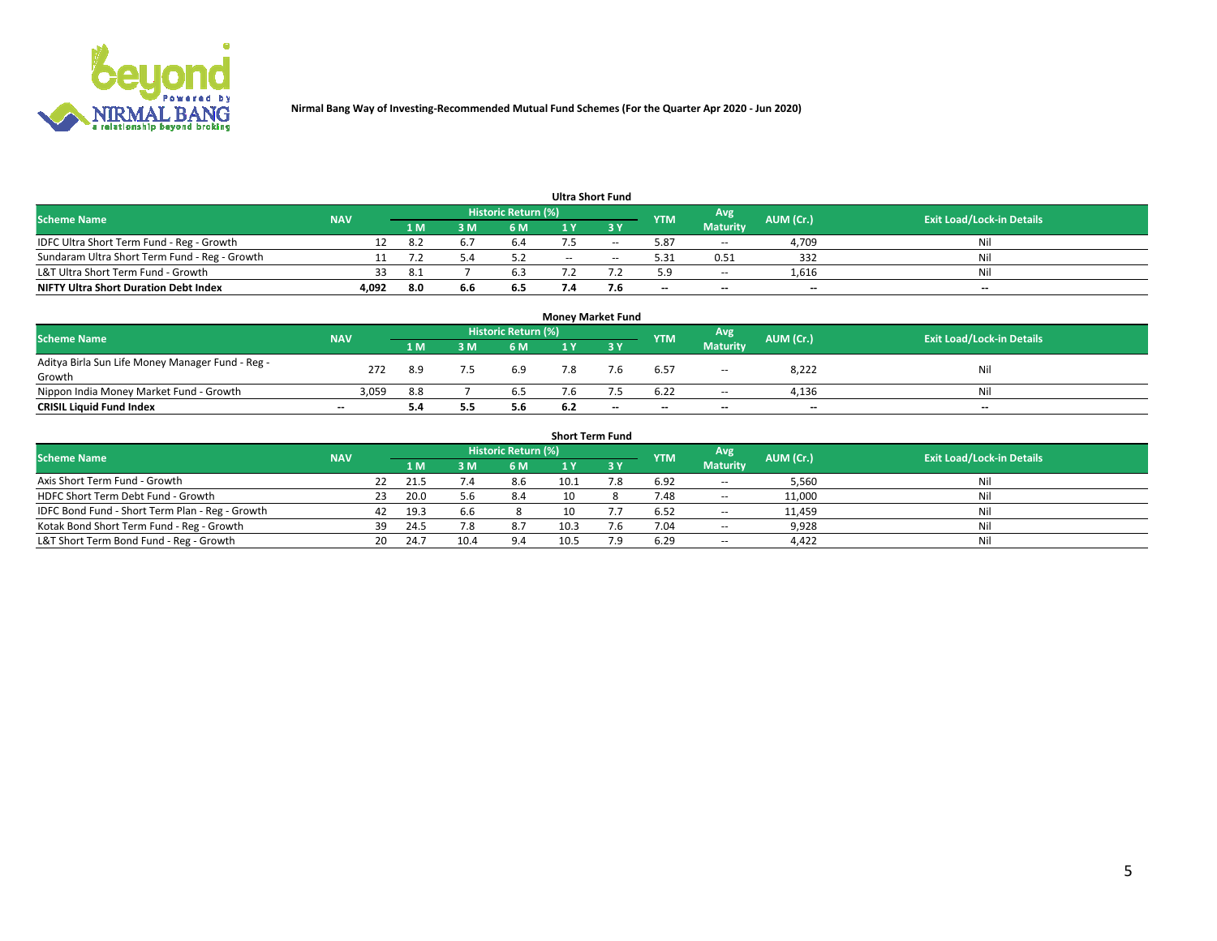

| <b>Ultra Short Fund</b>                       |            |      |     |                     |       |        |            |                 |                          |                                  |  |  |  |  |
|-----------------------------------------------|------------|------|-----|---------------------|-------|--------|------------|-----------------|--------------------------|----------------------------------|--|--|--|--|
| <b>Scheme Name</b>                            | <b>NAV</b> |      |     | Historic Return (%) |       |        | <b>YTM</b> | Avg             | AUM (Cr.)                | <b>Exit Load/Lock-in Details</b> |  |  |  |  |
|                                               |            | 1 M  | : M | 6 M                 |       | י פ    |            | <b>Maturity</b> |                          |                                  |  |  |  |  |
| IDFC Ultra Short Term Fund - Reg - Growth     |            | 8.   |     | 6.4                 |       | $- -$  | 5.87       | $\sim$          | 4.709                    | Nil                              |  |  |  |  |
| Sundaram Ultra Short Term Fund - Reg - Growth |            |      |     |                     | $- -$ | $\sim$ | 5.31       | 0.51            | 332                      | Nil                              |  |  |  |  |
| L&T Ultra Short Term Fund - Growth            | 33         | -8.1 |     | 6.3                 |       |        | 5.9        | $\sim$          | 1,616                    | Nil                              |  |  |  |  |
| <b>NIFTY Ultra Short Duration Debt Index</b>  | 4,092      | 8.0  | 6.6 | 6.5                 |       | 7.6    | $- -$      | $-$             | $\overline{\phantom{a}}$ | $- -$                            |  |  |  |  |

| <b>Money Market Fund</b>                         |            |     |     |                            |     |       |            |                          |                          |                                  |  |  |  |  |
|--------------------------------------------------|------------|-----|-----|----------------------------|-----|-------|------------|--------------------------|--------------------------|----------------------------------|--|--|--|--|
| <b>Scheme Name</b>                               | <b>NAV</b> |     |     | <b>Historic Return (%)</b> |     |       | <b>YTM</b> | Avg                      | AUM (Cr.)                | <b>Exit Load/Lock-in Details</b> |  |  |  |  |
|                                                  |            | 1 M | 3 M | 6 M                        |     |       |            | <b>Maturity</b>          |                          |                                  |  |  |  |  |
| Aditya Birla Sun Life Money Manager Fund - Reg - | 272        | 8.9 |     | 6.9                        |     |       | 6.57       | $\overline{\phantom{a}}$ | 8,222                    | Nil                              |  |  |  |  |
| Growth                                           |            |     |     |                            |     |       |            |                          |                          |                                  |  |  |  |  |
| Nippon India Money Market Fund - Growth          | 3,059      | 8.8 |     | 6.5                        |     |       | 6.22       | $- -$                    | 4.136                    | Nil                              |  |  |  |  |
| <b>CRISIL Liquid Fund Index</b>                  | $-$        | 5.4 |     | 5.6                        | 6.2 | $- -$ | $-$        | $\overline{\phantom{a}}$ | $\overline{\phantom{a}}$ | $-$                              |  |  |  |  |

| <b>Short Term Fund</b>                          |            |     |      |      |                     |      |           |            |                 |           |                                  |  |  |  |
|-------------------------------------------------|------------|-----|------|------|---------------------|------|-----------|------------|-----------------|-----------|----------------------------------|--|--|--|
| <b>Scheme Name</b>                              | <b>NAV</b> |     |      |      | Historic Return (%) |      |           | <b>YTM</b> | Avg             | AUM (Cr.) | <b>Exit Load/Lock-in Details</b> |  |  |  |
|                                                 |            |     | 1 M  | з м' | 6 M                 |      | <b>3Y</b> |            | <b>Maturity</b> |           |                                  |  |  |  |
| Axis Short Term Fund - Growth                   |            | 22  | 21.5 |      | 8.6                 | 10.1 |           | 6.92       | $\sim$          | 5,560     |                                  |  |  |  |
| HDFC Short Term Debt Fund - Growth              |            | 23  | 20.0 | 5.b  | 8.4                 |      |           | 7.48       | $\sim$          | 11,000    |                                  |  |  |  |
| IDFC Bond Fund - Short Term Plan - Reg - Growth |            | 42  | 19.3 | 6.6  |                     |      |           | 6.52       | $\sim$          | 11.459    | Nil                              |  |  |  |
| Kotak Bond Short Term Fund - Reg - Growth       |            | 39  | 24.5 | 8.   | 8.7                 | 10.3 | . b       | 7.04       | $\sim$          | 9,928     | Nil                              |  |  |  |
| L&T Short Term Bond Fund - Reg - Growth         |            | 20. | 24.7 | 10.4 | 9.4                 | 10.5 | ם ד       | 6.29       | $\sim$          | 4,422     | Nil                              |  |  |  |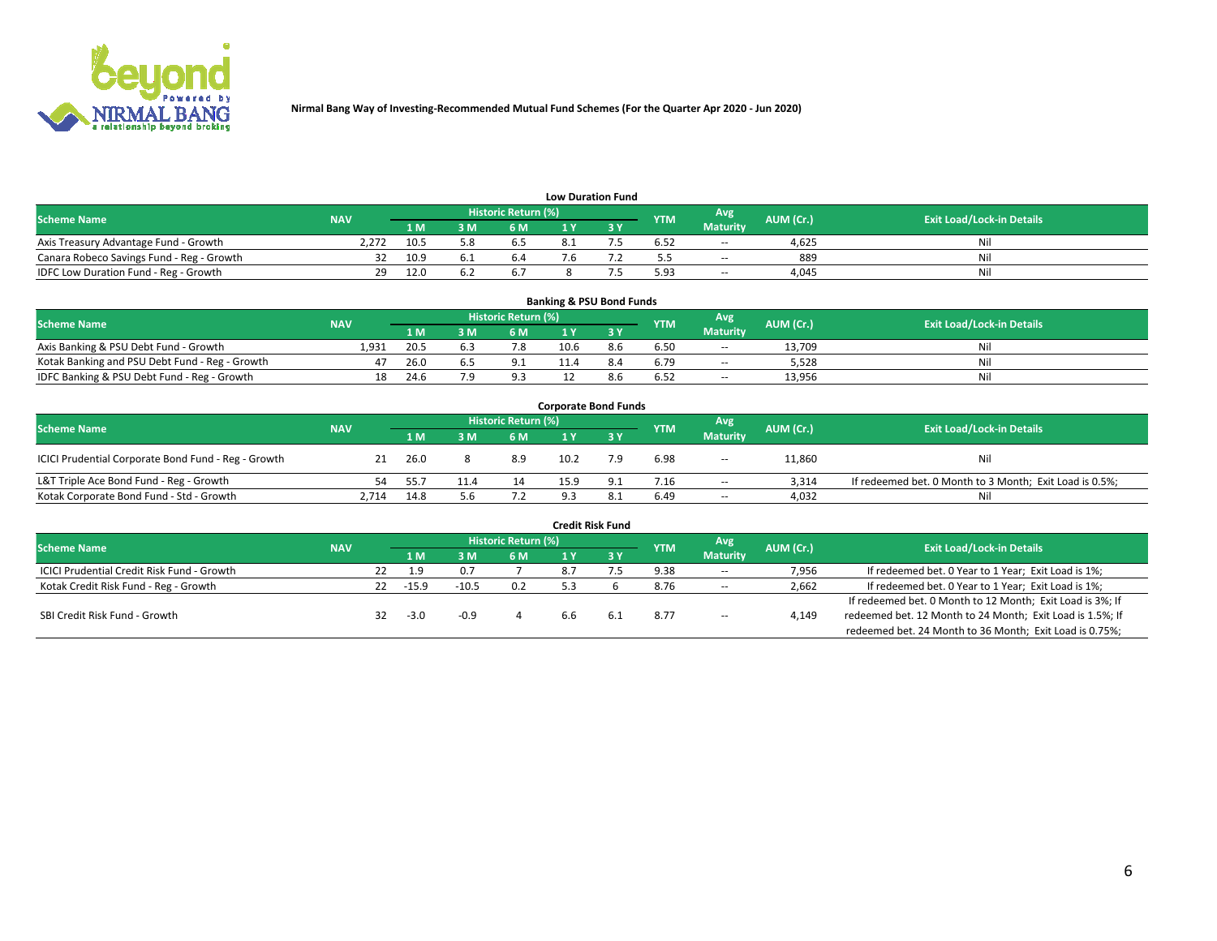

| <b>Low Duration Fund</b>                  |            |      |     |                     |  |  |            |                 |           |                                  |  |  |  |  |
|-------------------------------------------|------------|------|-----|---------------------|--|--|------------|-----------------|-----------|----------------------------------|--|--|--|--|
| <b>Scheme Name</b>                        | <b>NAV</b> |      |     | Historic Return (%) |  |  | <b>YTM</b> | Avg             | AUM (Cr.) | <b>Exit Load/Lock-in Details</b> |  |  |  |  |
|                                           |            | 1 M  | 3 M | 6 M                 |  |  |            | <b>Maturity</b> |           |                                  |  |  |  |  |
| Axis Treasury Advantage Fund - Growth     | 2.272      | 10.5 |     |                     |  |  | 6.52       | $\sim$          | 4.625     | Nil                              |  |  |  |  |
| Canara Robeco Savings Fund - Reg - Growth |            | 10.9 |     | b.4                 |  |  |            | $\sim$          | 889       | Nil                              |  |  |  |  |
| IDFC Low Duration Fund - Reg - Growth     | 29         | 12.0 |     |                     |  |  | 5.93       | $\sim$          | 4.045     | Nil                              |  |  |  |  |

| <b>Banking &amp; PSU Bond Funds</b>            |            |      |     |                     |      |     |            |                 |           |                                  |  |  |  |
|------------------------------------------------|------------|------|-----|---------------------|------|-----|------------|-----------------|-----------|----------------------------------|--|--|--|
| <b>Scheme Name</b>                             | <b>NAV</b> |      |     | Historic Return (%) |      |     | <b>YTM</b> | Avg             | AUM (Cr.) | <b>Exit Load/Lock-in Details</b> |  |  |  |
|                                                |            | 1 M  | 3 M | 6 M                 |      |     |            | <b>Maturity</b> |           |                                  |  |  |  |
| Axis Banking & PSU Debt Fund - Growth          | 1.931      | 20.5 |     | 7.8                 | 10.6 | 8.6 | 6.50       | $\sim$          | 13.709    | Nil                              |  |  |  |
| Kotak Banking and PSU Debt Fund - Reg - Growth |            | 26.0 |     | 9.1                 | 11.4 | 8.4 | 6.79       | $\sim$          | 5.528     | Nil                              |  |  |  |
| IDFC Banking & PSU Debt Fund - Reg - Growth    | 18         | 24.6 |     | 9.3                 |      |     | 6.52       | $\sim$          | 13,956    | Nil                              |  |  |  |

| <b>Corporate Bond Funds</b>                         |            |      |      |                     |      |     |            |                          |           |                                                         |  |  |  |  |
|-----------------------------------------------------|------------|------|------|---------------------|------|-----|------------|--------------------------|-----------|---------------------------------------------------------|--|--|--|--|
| <b>Scheme Name</b>                                  | <b>NAV</b> |      |      | Historic Return (%) |      |     | <b>YTM</b> | Avg                      | AUM (Cr.) | <b>Exit Load/Lock-in Details</b>                        |  |  |  |  |
|                                                     |            | 1 M. | የ M  | 6 M                 |      |     |            | <b>Maturity</b>          |           |                                                         |  |  |  |  |
| ICICI Prudential Corporate Bond Fund - Reg - Growth |            | 26.0 |      | 8.9                 | 10.2 | 7.9 | 6.98       | $- -$                    | 11,860    | Nil                                                     |  |  |  |  |
| L&T Triple Ace Bond Fund - Reg - Growth             | 54.        | 55.7 | 11.4 | 14                  | 15.9 |     | 7.16       | $\sim$                   | 3.314     | If redeemed bet. 0 Month to 3 Month; Exit Load is 0.5%; |  |  |  |  |
| Kotak Corporate Bond Fund - Std - Growth            | 2,714      | 14.8 | 5.6  | 7.2                 |      |     | 6.49       | $\overline{\phantom{a}}$ | 4,032     | Nil                                                     |  |  |  |  |

| <b>Credit Risk Fund</b>                           |            |    |         |         |                            |      |     |            |                 |           |                                                           |  |  |
|---------------------------------------------------|------------|----|---------|---------|----------------------------|------|-----|------------|-----------------|-----------|-----------------------------------------------------------|--|--|
| <b>Scheme Name</b>                                | <b>NAV</b> |    |         |         | <b>Historic Return (%)</b> |      |     | <b>YTM</b> | Avg             | AUM (Cr.) | <b>Exit Load/Lock-in Details</b>                          |  |  |
|                                                   |            |    | 1 M     |         | 6 M                        |      | 8 V |            | <b>Maturity</b> |           |                                                           |  |  |
| <b>ICICI Prudential Credit Risk Fund - Growth</b> |            |    | 1.9     | 0.7     |                            | 8.7  |     | 9.38       | $- -$           | 7,956     | If redeemed bet. 0 Year to 1 Year; Exit Load is 1%;       |  |  |
| Kotak Credit Risk Fund - Reg - Growth             |            | 22 | $-15.9$ | $-10.5$ | 0.2                        |      |     | 8.76       | $\sim$          | 2,662     | If redeemed bet. 0 Year to 1 Year; Exit Load is 1%;       |  |  |
|                                                   |            |    |         |         |                            |      |     |            |                 |           | If redeemed bet. 0 Month to 12 Month; Exit Load is 3%; If |  |  |
| SBI Credit Risk Fund - Growth                     |            |    | $-3.0$  | $-0.9$  |                            | .6.b |     | 8.77       | $- -$           | 4,149     | redeemed bet. 12 Month to 24 Month; Exit Load is 1.5%; If |  |  |
|                                                   |            |    |         |         |                            |      |     |            |                 |           | redeemed bet. 24 Month to 36 Month; Exit Load is 0.75%;   |  |  |